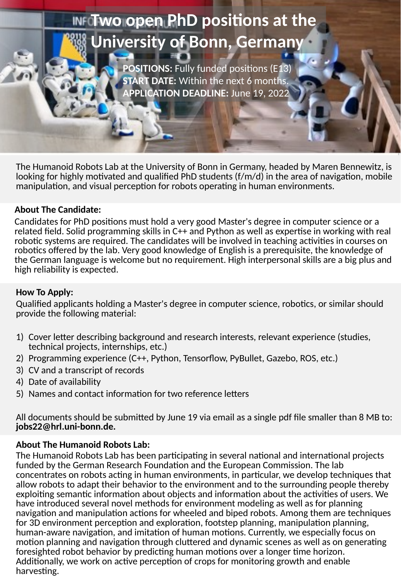# **Two open Photos and Photos at the attention of the attention of the attention of the attention of the attention INFO WO OPEN PhD positions at the University of Bonn, Germany**

**POSITIONS:** FULLY fund positions (E13) **UNIVERSITY OF BOSITIONS:** FUIII TUNGER POSITIONS: FUIII TUNGER POSITIONS: ETART DATE: Within the next 6 months. **POSITIONS:** Fully funded positions (E13) **APPLICATION DEADLINE:** June 19, 2022

The Humanoid Robots Lab at the University of Bonn in Germany, headed by Maren Bennewitz, is looking for highly motivated and qualified PhD students (f/m/d) in the area of navigation, mobile manipulation, and visual perception for robots operating in human environments.

### **About The Candidate:**

**START DATE:** Within the next 6 months. **APPLICATION DEADLINE:** 

Candidates for PhD positions must hold a very good Master's degree in computer science or a related field. Solid programming skills in C++ and Python as well as expertise in working with real robotic systems are required. The candidates will be involved in teaching activities in courses on robotics offered by the lab. Very good knowledge of English is a prerequisite, the knowledge of the German language is welcome but no requirement. High interpersonal skills are a big plus and high reliability is expected.

# **How To Apply:**

Qualified applicants holding a Master's degree in computer science, robotics, or similar should provide the following material:

- 1) Cover letter describing background and research interests, relevant experience (studies, technical projects, internships, etc.)
- 2) Programming experience (C++, Python, Tensorflow, PyBullet, Gazebo, ROS, etc.)
- 3) CV and a transcript of records
- 4) Date of availability
- 5) Names and contact information for two reference letters

All documents should be submitted by June 19 via email as a single pdf file smaller than 8 MB to: **jobs22@hrl.uni-bonn.de.**

#### **About The Humanoid Robots Lab:**

The Humanoid Robots Lab has been participating in several national and international projects funded by the German Research Foundation and the European Commission. The lab concentrates on robots acting in human environments, in particular, we develop techniques that allow robots to adapt their behavior to the environment and to the surrounding people thereby exploiting semantic information about objects and information about the activities of users. We have introduced several novel methods for environment modeling as well as for planning navigation and manipulation actions for wheeled and biped robots. Among them are techniques for 3D environment perception and exploration, footstep planning, manipulation planning, human-aware navigation, and imitation of human motions. Currently, we especially focus on motion planning and navigation through cluttered and dynamic scenes as well as on generating foresighted robot behavior by predicting human motions over a longer time horizon. Additionally, we work on active perception of crops for monitoring growth and enable harvesting.